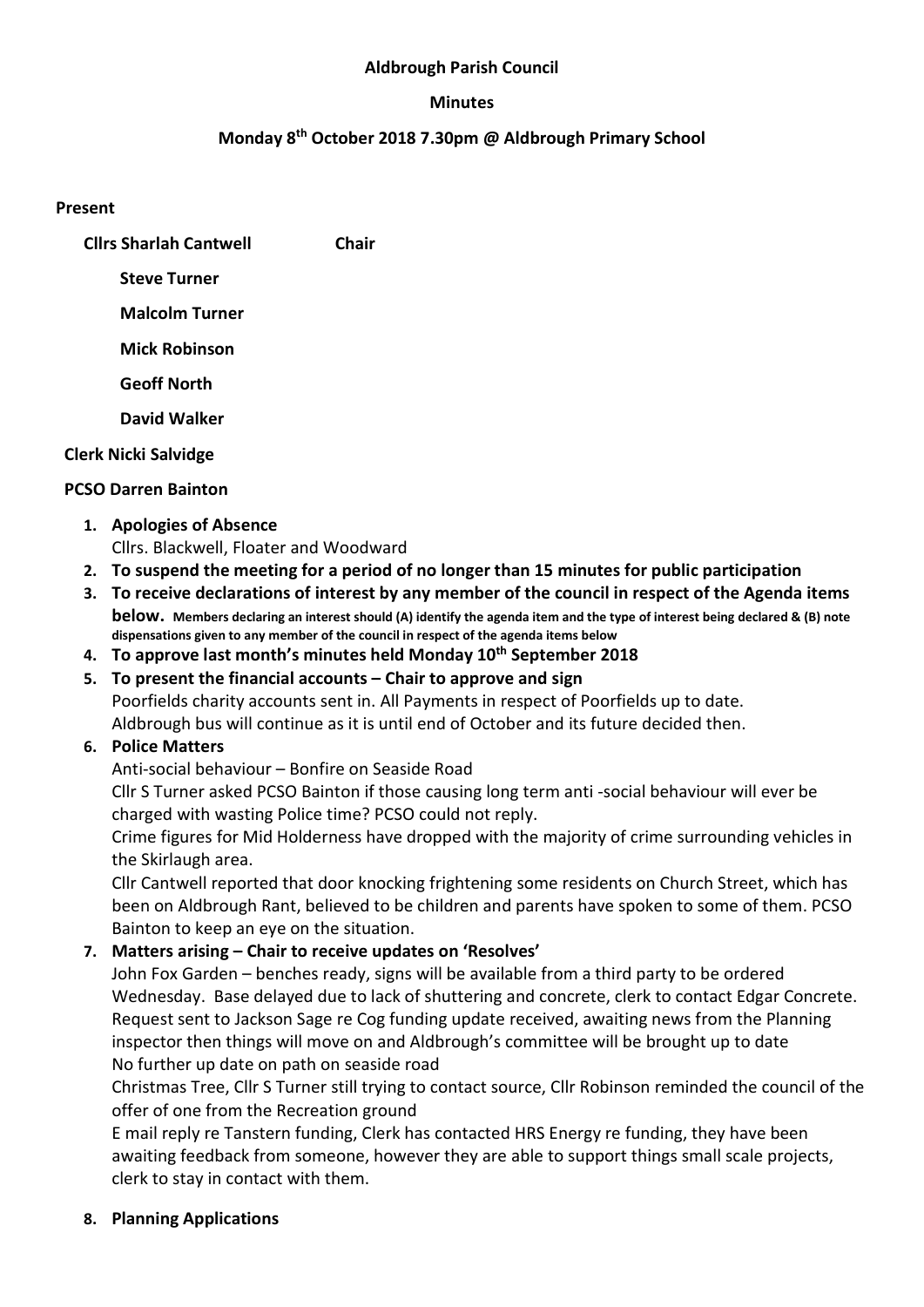#### Aldbrough Parish Council

#### Minutes

## Monday 8th October 2018 7.30pm @ Aldbrough Primary School

#### Present

| <b>Clirs Sharlah Cantwell</b> | Chair |
|-------------------------------|-------|
| <b>Steve Turner</b>           |       |
| <b>Malcolm Turner</b>         |       |
| Mick Robinson                 |       |

Geoff North

David Walker

#### Clerk Nicki Salvidge

#### PCSO Darren Bainton

- 1. Apologies of Absence Cllrs. Blackwell, Floater and Woodward
- 2. To suspend the meeting for a period of no longer than 15 minutes for public participation
- 3. To receive declarations of interest by any member of the council in respect of the Agenda items below. Members declaring an interest should (A) identify the agenda item and the type of interest being declared & (B) note dispensations given to any member of the council in respect of the agenda items below
- 4. To approve last month's minutes held Monday 10<sup>th</sup> September 2018
- 5. To present the financial accounts Chair to approve and sign Poorfields charity accounts sent in. All Payments in respect of Poorfields up to date. Aldbrough bus will continue as it is until end of October and its future decided then.

## 6. Police Matters

Anti-social behaviour – Bonfire on Seaside Road

Cllr S Turner asked PCSO Bainton if those causing long term anti -social behaviour will ever be charged with wasting Police time? PCSO could not reply.

Crime figures for Mid Holderness have dropped with the majority of crime surrounding vehicles in the Skirlaugh area.

Cllr Cantwell reported that door knocking frightening some residents on Church Street, which has been on Aldbrough Rant, believed to be children and parents have spoken to some of them. PCSO Bainton to keep an eye on the situation.

## 7. Matters arising – Chair to receive updates on 'Resolves'

John Fox Garden – benches ready, signs will be available from a third party to be ordered Wednesday. Base delayed due to lack of shuttering and concrete, clerk to contact Edgar Concrete. Request sent to Jackson Sage re Cog funding update received, awaiting news from the Planning inspector then things will move on and Aldbrough's committee will be brought up to date No further up date on path on seaside road

Christmas Tree, Cllr S Turner still trying to contact source, Cllr Robinson reminded the council of the offer of one from the Recreation ground

E mail reply re Tanstern funding, Clerk has contacted HRS Energy re funding, they have been awaiting feedback from someone, however they are able to support things small scale projects, clerk to stay in contact with them.

8. Planning Applications